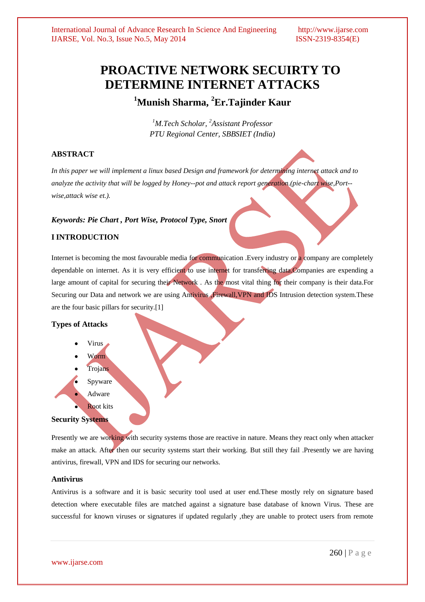# **PROACTIVE NETWORK SECUIRTY TO DETERMINE INTERNET ATTACKS**

**<sup>1</sup>Munish Sharma, <sup>2</sup>Er.Tajinder Kaur**

*<sup>1</sup>M.Tech Scholar, <sup>2</sup>Assistant Professor PTU Regional Center, SBBSIET (India)*

# **ABSTRACT**

*In this paper we will implement a linux based Design and framework for determining internet attack and to analyze the activity that will be logged by Honey--pot and attack report generation.(pie-chart wise,Port- wise,attack wise et.).*

# *Keywords: Pie Chart , Port Wise, Protocol Type, Snort*

# **I INTRODUCTION**

Internet is becoming the most favourable media for communication .Every industry or a company are completely dependable on internet. As it is very efficient to use internet for transferring data. Companies are expending a large amount of capital for securing their Network . As the most vital thing for their company is their data.For Securing our Data and network we are using Antivirus **Firewall, VPN and IDS** Intrusion detection system. These are the four basic pillars for security.[1]

# **Types of Attacks**

Virus Worm Trojans Spyware Adware Root kits **Security Systems**

Presently we are working with security systems those are reactive in nature. Means they react only when attacker make an attack. After then our security systems start their working. But still they fail .Presently we are having antivirus, firewall, VPN and IDS for securing our networks.

# **Antivirus**

Antivirus is a software and it is basic security tool used at user end.These mostly rely on signature based detection where executable files are matched against a signature base database of known Virus. These are successful for known viruses or signatures if updated regularly ,they are unable to protect users from remote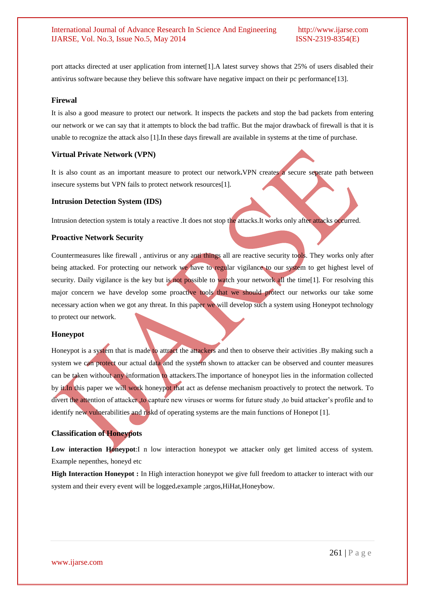port attacks directed at user application from internet[1].A latest survey shows that 25% of users disabled their antivirus software because they believe this software have negative impact on their pc performance[13].

#### **Firewal**

It is also a good measure to protect our network. It inspects the packets and stop the bad packets from entering our network or we can say that it attempts to block the bad traffic. But the major drawback of firewall is that it is unable to recognize the attack also [1].In these days firewall are available in systems at the time of purchase.

#### **Virtual Private Network (VPN)**

It is also count as an important measure to protect our network**.**VPN creates a secure seperate path between insecure systems but VPN fails to protect network resources[1].

#### **Intrusion Detection System (IDS)**

Intrusion detection system is totaly a reactive .It does not stop the attacks.It works only after attacks occurred.

#### **Proactive Network Security**

Countermeasures like firewall , antivirus or any anti things all are reactive security tools. They works only after being attacked. For protecting our network we have to regular vigilance to our system to get highest level of security. Daily vigilance is the key but is not possible to watch your network all the time[1]. For resolving this major concern we have develop some proactive tools that we should protect our networks our take some necessary action when we got any threat. In this paper we will develop such a system using Honeypot technology to protect our network.

#### **Honeypot**

Honeypot is a system that is made to attract the attackers and then to observe their activities .By making such a system we can protect our actual data and the system shown to attacker can be observed and counter measures can be taken without any information to attackers.The importance of honeypot lies in the information collected by it.In this paper we will work honeypot that act as defense mechanism proactively to protect the network. To divert the attention of attacker, to capture new viruses or worms for future study, to buid attacker's profile and to identify new vulnerabilities and riskd of operating systems are the main functions of Honepot [1].

# **Classification of Honeypots**

**Low interaction Honeypot**:I n low interaction honeypot we attacker only get limited access of system. Example nepenthes, honeyd etc

**High Interaction Honeypot :** In High interaction honeypot we give full freedom to attacker to interact with our system and their every event will be logged**.**example ;argos,HiHat,Honeybow.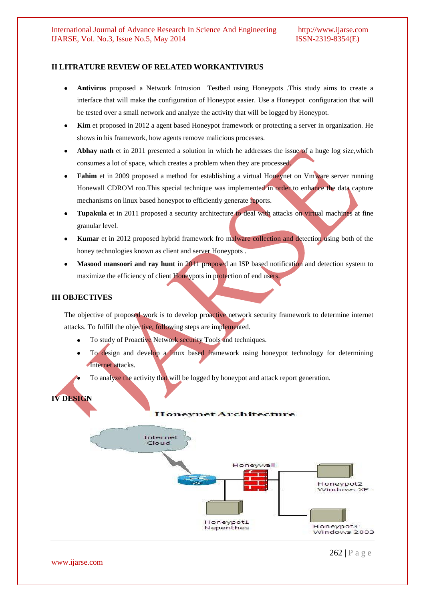# **II LITRATURE REVIEW OF RELATED WORKANTIVIRUS**

- $\bullet$ **Antivirus** proposed a Network Intrusion Testbed using Honeypots .This study aims to create a interface that will make the configuration of Honeypot easier. Use a Honeypot configuration that will be tested over a small network and analyze the activity that will be logged by Honeypot.
- $\bullet$ **Kim** et proposed in 2012 a agent based Honeypot framework or protecting a server in organization. He shows in his framework, how agents remove malicious processes.
- **Abhay nath** et in 2011 presented a solution in which he addresses the issue of a huge log size,which consumes a lot of space, which creates a problem when they are processed.
- Fahim et in 2009 proposed a method for establishing a virtual Honeynet on Vmware server running Honewall CDROM roo.This special technique was implemented in order to enhance the data capture mechanisms on linux based honeypot to efficiently generate reports.
- **Tupakula** et in 2011 proposed a security architecture to deal with attacks on virtual machines at fine  $\bullet$ granular level.
- Kumar et in 2012 proposed hybrid framework fro malware collection and detection using both of the honey technologies known as client and server Honeypots .
- **Masood mansoori and ray hunt** in 2011 proposed an ISP based notification and detection system to maximize the efficiency of client Honeypots in protection of end users.

# **III OBJECTIVES**

The objective of proposed work is to develop proactive network security framework to determine internet attacks. To fulfill the objective, following steps are implemented.

- To study of Proactive Network security Tools and techniques.
- To design and develop a linux based framework using honeypot technology for determining Internet attacks.

To analyze the activity that will be logged by honeypot and attack report generation.

# **IV DESIGN**

#### **Honeynet Architecture**



www.ijarse.com

262 | P a g e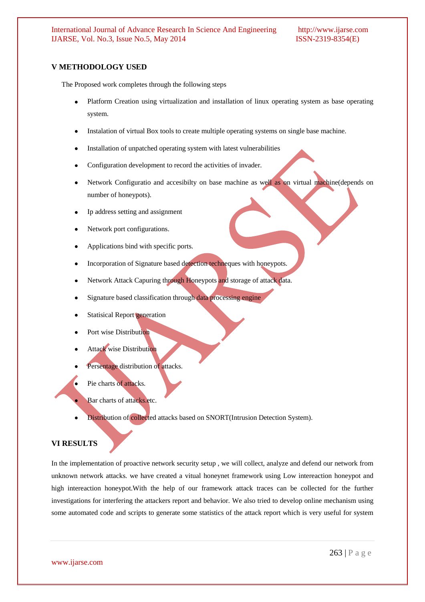# **V METHODOLOGY USED**

The Proposed work completes through the following steps

- $\bullet$ Platform Creation using virtualization and installation of linux operating system as base operating system.
- Instalation of virtual Box tools to create multiple operating systems on single base machine.
- Installation of unpatched operating system with latest vulnerabilities
- Configuration development to record the activities of invader.
- Network Configuratio and accesibilty on base machine as well as on virtual machine(depends on number of honeypots).
- Ip address setting and assignment
- Network port configurations.
- Applications bind with specific ports.
- Incorporation of Signature based detection techneques with honeypots.
- Network Attack Capuring through Honeypots and storage of attack data.
- Signature based classification through data processing engine
- Statisical Report generation
- Port wise Distribution
- Attack wise Distribution
- Persentage distribution of attacks.
	- Pie charts of attacks.
	- Bar charts of attacks.etc.
- Distribution of collected attacks based on SNORT(Intrusion Detection System).

#### **VI RESULTS**

In the implementation of proactive network security setup , we will collect, analyze and defend our network from unknown network attacks. we have created a vitual honeynet framework using Low intereaction honeypot and high intereaction honeypot.With the help of our framework attack traces can be collected for the further investigations for interfering the attackers report and behavior. We also tried to develop online mechanism using some automated code and scripts to generate some statistics of the attack report which is very useful for system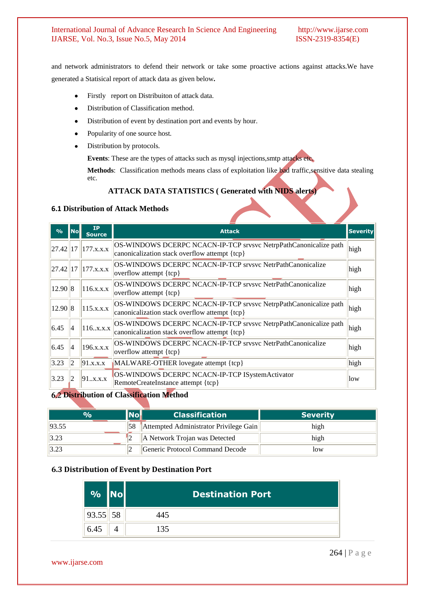#### International Journal of Advance Research In Science And Engineering http://www.ijarse.com IJARSE, Vol. No.3, Issue No.5, May 2014 ISSN-2319-8354(E)

and network administrators to defend their network or take some proactive actions against attacks.We have generated a Statisical report of attack data as given below**.**

- Firstly report on Distribuiton of attack data.  $\bullet$
- Distribution of Classification method.  $\bullet$
- Distribution of event by destination port and events by hour.
- Popularity of one source host.  $\bullet$
- Distribution by protocols.

**Events**: These are the types of attacks such as mysql injections,smtp attacks etc.

**Methods**: Classification methods means class of exploitation like bad traffic,sensitive data stealing etc.

# **ATTACK DATA STATISTICS ( Generated with NIDS alerts)**

#### **6.1 Distribution of Attack Methods**

| $\frac{0}{0}$ | No | <b>IP</b><br><b>Source</b> | <b>Attack</b>                                                                                                     | <b>Severity</b> |  |
|---------------|----|----------------------------|-------------------------------------------------------------------------------------------------------------------|-----------------|--|
| 27.42         | 17 | 177.x.x.x                  | OS-WINDOWS DCERPC NCACN-IP-TCP srvsvc NetrpPathCanonicalize path<br>canonicalization stack overflow attempt {tcp} |                 |  |
| 27.42         | 17 | 177.x.x.x                  | <b>OS-WINDOWS DCERPC NCACN-IP-TCP srvsvc NetrPathCanonicalize</b><br>overflow attempt $\{top\}$                   |                 |  |
| 12.90 8       |    | 116.x.x.x                  | OS-WINDOWS DCERPC NCACN-IP-TCP srvsvc NetrPathCanonicalize<br>overflow attempt $\{top\}$                          |                 |  |
| 12.90 8       |    | 115.x.x.x                  | OS-WINDOWS DCERPC NCACN-IP-TCP srvsvc NetrpPathCanonicalize path<br>canonicalization stack overflow attempt {tcp} |                 |  |
| 6.45          | 14 | 116x.x.x                   | OS-WINDOWS DCERPC NCACN-IP-TCP srvsvc NetrpPathCanonicalize path<br>canonicalization stack overflow attempt {tcp} |                 |  |
| 6.45          | 14 | 196.x.x.x                  | OS-WINDOWS DCERPC NCACN-IP-TCP srysvc NetrPathCanonicalize<br>overflow attempt {tcp}                              |                 |  |
| 3.23          | 2  | 91.x.x.x                   | MALWARE-OTHER lovegate attempt {tcp}                                                                              |                 |  |
| 3.23          | 2  | 91x.x.x                    | OS-WINDOWS DCERPC NCACN-IP-TCP ISystemActivator<br>RemoteCreateInstance attempt {tcp}                             | low             |  |

# **Distribution of Classification Method**

| $\mathcal{A}$ | <b>Classification</b>                  | <b>Severity</b> |
|---------------|----------------------------------------|-----------------|
| 93.55         | Attempted Administrator Privilege Gain | high            |
| 3.23          | A Network Trojan was Detected          | high            |
| 3.23          | Generic Protocol Command Decode        | low             |

#### **6.3 Distribution of Event by Destination Port**

| $\mathbf{O}/\mathbf{O}$ |    |     | <b>Destination Port</b> |
|-------------------------|----|-----|-------------------------|
| 93.55                   | 58 | 445 |                         |
| 6.45                    |    | 135 |                         |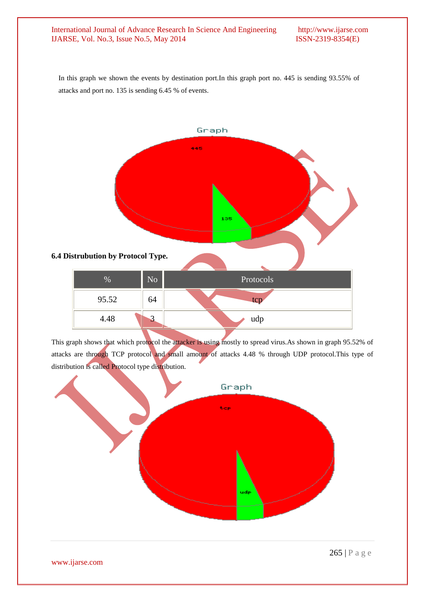#### International Journal of Advance Research In Science And Engineering http://www.ijarse.com IJARSE, Vol. No.3, Issue No.5, May 2014 ISSN-2319-8354(E)

In this graph we shown the events by destination port.In this graph port no. 445 is sending 93.55% of attacks and port no. 135 is sending 6.45 % of events.



This graph shows that which protocol the attacker is using mostly to spread virus.As shown in graph 95.52% of attacks are through TCP protocol and small amount of attacks 4.48 % through UDP protocol.This type of distribution is called Protocol type distribution.



www.ijarse.com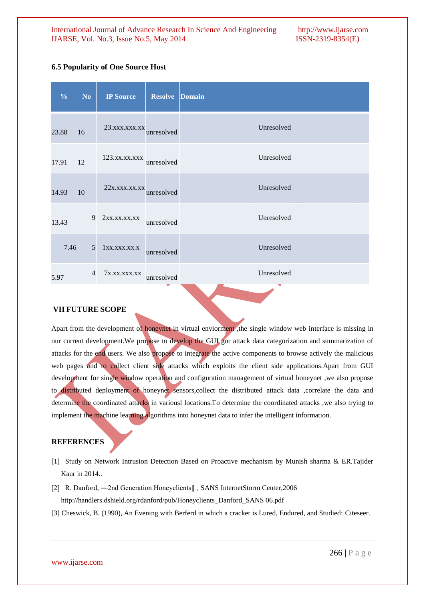| N <sub>o</sub> | <b>IP Source</b>       | <b>Resolve</b> | <b>Domain</b>                                                                                                          |
|----------------|------------------------|----------------|------------------------------------------------------------------------------------------------------------------------|
|                |                        |                | Unresolved                                                                                                             |
|                | 123. xx. xx. xxx       |                | Unresolved                                                                                                             |
|                |                        |                | Unresolved                                                                                                             |
| 9              | 2xx.xx.xx.xx           |                | Unresolved                                                                                                             |
| 5              | 1xx.xxx.xx.x           |                | Unresolved                                                                                                             |
| $\overline{4}$ | 7x.xx.xxx.xx           |                | Unresolved                                                                                                             |
|                | 16<br>12<br>10<br>7.46 |                | 23. xxx. xxx. xx<br>unresolved<br>unresolved<br>22x.xxx.xxx.xx<br>unresolved<br>unresolved<br>unresolved<br>unresolved |

# **6.5 Popularity of [One Source Host](file:///E:\miyan.html%23top)**

# **VII FUTURE SCOPE**

Apart from the development of honeynet in virtual enviorment, the single window web interface is missing in our current development.We propose to develop the GUI gor attack data categorization and summarization of attacks for the end users. We also propose to integrate the active components to browse actively the malicious web pages and to collect client side attacks which exploits the client side applications.Apart from GUI development for single window operation and configuration management of virtual honeynet, we also propose to distributed deployment of honeynet sensors,collect the distributed attack data ,correlate the data and determine the coordinated attacks in variousl locations.To determine the coordinated attacks ,we also trying to implement the machine learning algorithms into honeynet data to infer the intelligent information.

# **REFERENCES**

- [1] Study on Network Intrusion Detection Based on Proactive mechanism by Munish sharma & ER.Tajider Kaur in 2014..
- [2] R. Danford, ―2nd Generation Honeyclients‖ , SANS InternetStorm Center,2006 http://handlers.dshield.org/rdanford/pub/Honeyclients\_Danford\_SANS 06.pdf
- [3] Cheswick, B. (1990), An Evening with Berferd in which a cracker is Lured, Endured, and Studied: Citeseer.